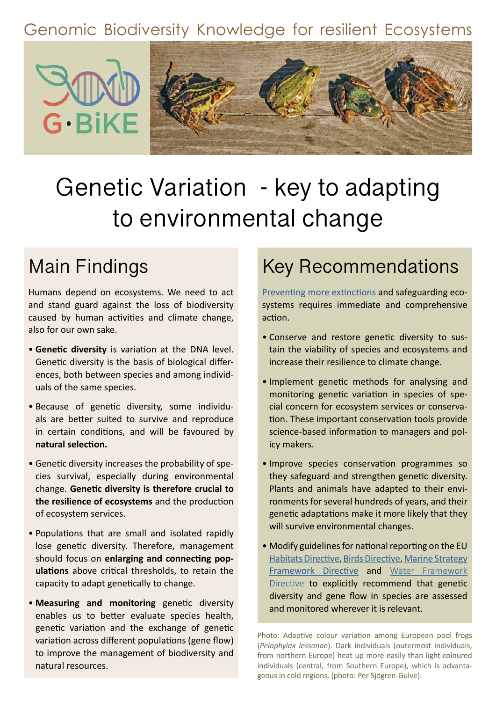### Genomic Biodiversity Knowledge for resilient Ecosystems



# Genetic Variation - key to adapting to environmental change

## Main Findings

Humans depend on ecosystems. We need to act and stand guard against the loss of biodiversity caused by human activities and climate change, also for our own sake.

- **Genetic diversity** is variation at the DNA level. Genetic diversity is the basis of biological differences, both between species and among individuals of the same species.
- Because of genetic diversity, some individuals are better suited to survive and reproduce in certain conditions, and will be favoured by **natural selection.**
- Genetic diversity increases the probability of species survival, especially during environmental change. **Genetic diversity is therefore crucial to the resilience of ecosystems** and the production of ecosystem services.
- Populations that are small and isolated rapidly lose genetic diversity. Therefore, management should focus on **enlarging and connecting populations** above critical thresholds, to retain the capacity to adapt genetically to change.
- **Measuring and monitoring** genetic diversity enables us to better evaluate species health, genetic variation and the exchange of genetic variation across different populations (gene flow) to improve the management of biodiversity and natural resources.

### Key Recommendations

[Preventing more extinctions](http://www.iucn.org/news/species/201912/species-recoveries-bring-hope-amidst-biodiversity-crisis-iucn-red-list) and safeguarding ecosystems requires immediate and comprehensive action.

- Conserve and restore genetic diversity to sustain the viability of species and ecosystems and increase their resilience to climate change.
- Implement genetic methods for analysing and monitoring genetic variation in species of special concern for ecosystem services or conservation. These important conservation tools provide science-based information to managers and policy makers.
- Improve species conservation programmes so they safeguard and strengthen genetic diversity. Plants and animals have adapted to their environments for several hundreds of years, and their genetic adaptations make it more likely that they will survive environmental changes.
- Modify guidelines for national reporting on the EU [Habitats Directive,](https://ec.europa.eu/environment/nature/legislation/habitatsdirective/index_en.htm) [Birds Directive](https://ec.europa.eu/environment/nature/legislation/birdsdirective/index_en.htm), [Marine Strategy](https://ec.europa.eu/environment/nature/legislation/birdsdirective/index_en.htm) [Framework Directive](https://ec.europa.eu/environment/nature/legislation/birdsdirective/index_en.htm) and [Water Framework](https://ec.europa.eu/environment/water/water-framework/index_en.html) [Directive](https://ec.europa.eu/environment/water/water-framework/index_en.html) to explicitly recommend that genetic diversity and gene flow in species are assessed and monitored wherever it is relevant.

Photo: Adaptive colour variation among European pool frogs (*Pelophylax lessonae*). Dark individuals (outermost individuals, from northern Europe) heat up more easily than light-coloured individuals (central, from Southern Europe), which is advantageous in cold regions. (photo: Per Sjögren-Gulve).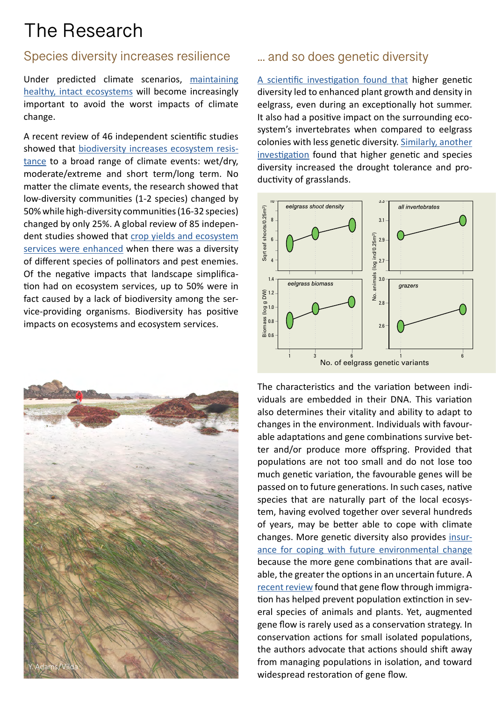## The Research

### Species diversity increases resilience

Under predicted climate scenarios, [maintaining](https://www.nature.com/articles/nclimate2918) [healthy, intact ecosystems](https://www.nature.com/articles/nclimate2918) will become increasingly important to avoid the worst impacts of climate change.

A recent review of 46 independent scientific studies showed that [biodiversity increases ecosystem resis](https://onlinelibrary.wiley.com/doi/full/10.1111/ele.12928)[tance](https://onlinelibrary.wiley.com/doi/full/10.1111/ele.12928) to a broad range of climate events: wet/dry, moderate/extreme and short term/long term. No matter the climate events, the research showed that low-diversity communities (1-2 species) changed by 50% while high-diversity communities (16-32 species) changed by only 25%. A global review of 85 independent studies showed that [crop yields and ecosystem](https://advances.sciencemag.org/content/5/10/eaax0121) [services were enhanced](https://advances.sciencemag.org/content/5/10/eaax0121) when there was a diversity of different species of pollinators and pest enemies. Of the negative impacts that landscape simplification had on ecosystem services, up to 50% were in fact caused by a lack of biodiversity among the service-providing organisms. Biodiversity has positive impacts on ecosystems and ecosystem services.



### ... and so does genetic diversity

[A scientific investigation found that](https://www.pnas.org/content/102/8/2826) higher genetic diversity led to enhanced plant growth and density in eelgrass, even during an exceptionally hot summer. It also had a positive impact on the surrounding ecosystem's invertebrates when compared to eelgrass colonies with less genetic diversity. [Similarly, another](https://www.nature.com/articles/nplants201533)  [investigation](https://www.nature.com/articles/nplants201533) found that higher genetic and species diversity increased the drought tolerance and productivity of grasslands.



The characteristics and the variation between individuals are embedded in their DNA. This variation also determines their vitality and ability to adapt to changes in the environment. Individuals with favourable adaptations and gene combinations survive better and/or produce more offspring. Provided that populations are not too small and do not lose too much genetic variation, the favourable genes will be passed on to future generations. In such cases, native species that are naturally part of the local ecosystem, having evolved together over several hundreds of years, may be better able to cope with climate changes. More genetic diversity also provides [insur](https://www.nature.com/articles/nature09670)[ance for coping with future environmental change](https://www.nature.com/articles/nature09670) because the more gene combinations that are available, the greater the options in an uncertain future. A [recent review](https://www.sciencedirect.com/science/article/pii/S0169534719301739) found that gene flow through immigration has helped prevent population extinction in several species of animals and plants. Yet, augmented gene flow is rarely used as a conservation strategy. In conservation actions for small isolated populations, the authors advocate that actions should shift away from managing populations in isolation, and toward widespread restoration of gene flow.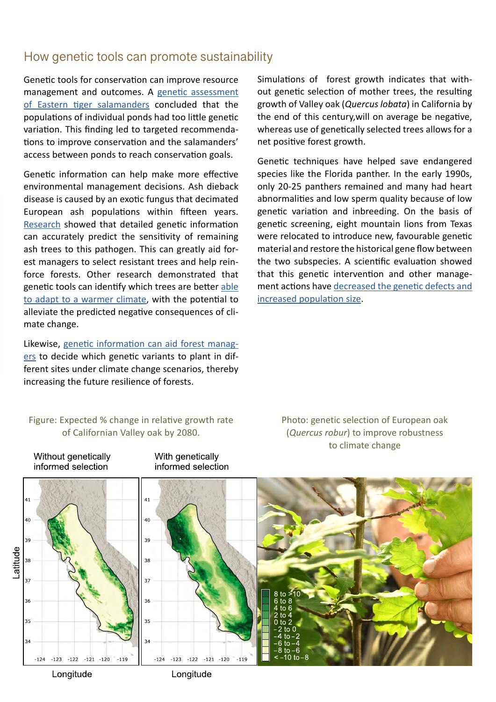### How genetic tools can promote sustainability

Genetic tools for conservation can improve resource management and outcomes. A [genetic assessment](https://www.biorxiv.org/content/10.1101/306340v1) [of Eastern tiger salamanders](https://www.biorxiv.org/content/10.1101/306340v1) concluded that the populations of individual ponds had too little genetic variation. This finding led to targeted recommendations to improve conservation and the salamanders' access between ponds to reach conservation goals.

Genetic information can help make more effective environmental management decisions. Ash dieback disease is caused by an exotic fungus that decimated European ash populations within fifteen years. [Research](https://www.nature.com/articles/s41559-019-1036-6) showed that detailed genetic information can accurately predict the sensitivity of remaining ash trees to this pathogen. This can greatly aid forest managers to select resistant trees and help reinforce forests. Other research demonstrated that genetic tools can identify which trees are better [able](https://www.pnas.org/content/116/50/25179) [to adapt to a warmer climate,](https://www.pnas.org/content/116/50/25179) with the potential to alleviate the predicted negative consequences of climate change.

Likewise, [genetic information can aid forest manag](https://www.pnas.org/content/116/50/25179)[ers](https://www.pnas.org/content/116/50/25179) to decide which genetic variants to plant in different sites under climate change scenarios, thereby increasing the future resilience of forests.

Simulations of forest growth indicates that without genetic selection of mother trees, the resulting growth of Valley oak (*Quercus lobata*) in California by the end of this century,will on average be negative, whereas use of genetically selected trees allows for a net positive forest growth.

Genetic techniques have helped save endangered species like the Florida panther. In the early 1990s, only 20-25 panthers remained and many had heart abnormalities and low sperm quality because of low genetic variation and inbreeding. On the basis of genetic screening, eight mountain lions from Texas were relocated to introduce new, favourable genetic material and restore the historical gene flow between the two subspecies. A scientific evaluation showed that this genetic intervention and other management actions have [decreased the genetic defects and](https://science.sciencemag.org/content/329/5999/1641)  [increased population size](https://science.sciencemag.org/content/329/5999/1641).

#### Figure: Expected % change in relative growth rate of Californian Valley oak by 2080.

With genetically

Without genetically

Photo: genetic selection of European oak (*Quercus robur*) to improve robustness to climate change